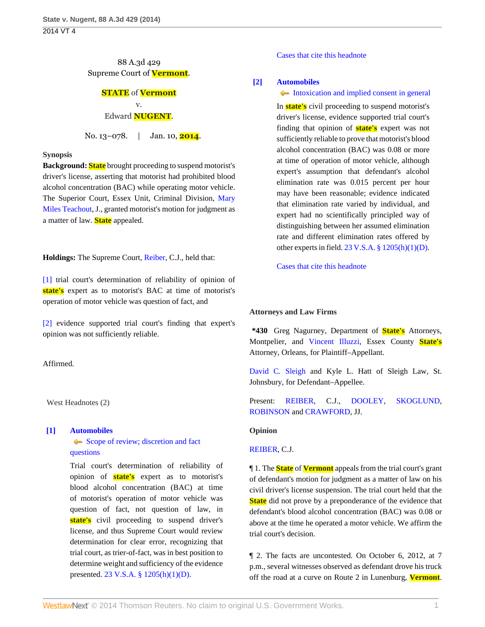## 88 A.3d 429 Supreme Court of **Vermont**.

# **STATE** of **Vermont** v. Edward **NUGENT**.

No. 13–078. | Jan. 10, **2014**.

#### **Synopsis**

**Background: State** brought proceeding to suspend motorist's driver's license, asserting that motorist had prohibited blood alcohol concentration (BAC) while operating motor vehicle. The Superior Court, Essex Unit, Criminal Division, [Mary](http://www.westlaw.com/Link/Document/FullText?findType=h&pubNum=176284&cite=0107905501&originatingDoc=I2b9b8e557a1a11e3a659df62eba144e8&refType=RQ&originationContext=document&vr=3.0&rs=cblt1.0&transitionType=DocumentItem&contextData=(sc.Search)) [Miles Teachout](http://www.westlaw.com/Link/Document/FullText?findType=h&pubNum=176284&cite=0107905501&originatingDoc=I2b9b8e557a1a11e3a659df62eba144e8&refType=RQ&originationContext=document&vr=3.0&rs=cblt1.0&transitionType=DocumentItem&contextData=(sc.Search)), J., granted motorist's motion for judgment as a matter of law. **State** appealed.

**Holdings:** The Supreme Court, [Reiber,](http://www.westlaw.com/Link/Document/FullText?findType=h&pubNum=176284&cite=0141970501&originatingDoc=I2b9b8e557a1a11e3a659df62eba144e8&refType=RQ&originationContext=document&vr=3.0&rs=cblt1.0&transitionType=DocumentItem&contextData=(sc.Search)) C.J., held that:

[\[1\]](#page-0-0) trial court's determination of reliability of opinion of **state's** expert as to motorist's BAC at time of motorist's operation of motor vehicle was question of fact, and

[\[2\]](#page-0-1) evidence supported trial court's finding that expert's opinion was not sufficiently reliable.

Affirmed.

West Headnotes (2)

## <span id="page-0-0"></span>**[\[1\]](#page-1-0) [Automobiles](http://www.westlaw.com/Browse/Home/KeyNumber/48A/View.html?docGuid=I2b9b8e557a1a11e3a659df62eba144e8&originationContext=document&vr=3.0&rs=cblt1.0&transitionType=DocumentItem&contextData=(sc.Search))**

[Scope of review; discretion and fact](http://www.westlaw.com/Browse/Home/KeyNumber/48Ak144.2(3)/View.html?docGuid=I2b9b8e557a1a11e3a659df62eba144e8&originationContext=document&vr=3.0&rs=cblt1.0&transitionType=DocumentItem&contextData=(sc.Search)) [questions](http://www.westlaw.com/Browse/Home/KeyNumber/48Ak144.2(3)/View.html?docGuid=I2b9b8e557a1a11e3a659df62eba144e8&originationContext=document&vr=3.0&rs=cblt1.0&transitionType=DocumentItem&contextData=(sc.Search))

Trial court's determination of reliability of opinion of **state's** expert as to motorist's blood alcohol concentration (BAC) at time of motorist's operation of motor vehicle was question of fact, not question of law, in **state's** civil proceeding to suspend driver's license, and thus Supreme Court would review determination for clear error, recognizing that trial court, as trier-of-fact, was in best position to determine weight and sufficiency of the evidence presented. [23 V.S.A. § 1205\(h\)\(1\)\(D\)](http://www.westlaw.com/Link/Document/FullText?findType=L&pubNum=1000883&cite=VTST23S1205&originatingDoc=I2b9b8e557a1a11e3a659df62eba144e8&refType=SP&originationContext=document&vr=3.0&rs=cblt1.0&transitionType=DocumentItem&contextData=(sc.Search)#co_pp_b4e500006fdf6).

[Cases that cite this headnote](http://www.westlaw.com/Link/RelatedInformation/DocHeadnoteLink?docGuid=I2b9b8e557a1a11e3a659df62eba144e8&headnoteId=203252516500120140711004252&originationContext=document&vr=3.0&rs=cblt1.0&transitionType=CitingReferences&contextData=(sc.Search))

#### <span id="page-0-1"></span>**[\[2\]](#page-1-1) [Automobiles](http://www.westlaw.com/Browse/Home/KeyNumber/48A/View.html?docGuid=I2b9b8e557a1a11e3a659df62eba144e8&originationContext=document&vr=3.0&rs=cblt1.0&transitionType=DocumentItem&contextData=(sc.Search))**

 $\blacklozenge$  [Intoxication and implied consent in general](http://www.westlaw.com/Browse/Home/KeyNumber/48Ak144.2(10.2)/View.html?docGuid=I2b9b8e557a1a11e3a659df62eba144e8&originationContext=document&vr=3.0&rs=cblt1.0&transitionType=DocumentItem&contextData=(sc.Search))

In **state's** civil proceeding to suspend motorist's driver's license, evidence supported trial court's finding that opinion of **state's** expert was not sufficiently reliable to prove that motorist's blood alcohol concentration (BAC) was 0.08 or more at time of operation of motor vehicle, although expert's assumption that defendant's alcohol elimination rate was 0.015 percent per hour may have been reasonable; evidence indicated that elimination rate varied by individual, and expert had no scientifically principled way of distinguishing between her assumed elimination rate and different elimination rates offered by other experts in field. [23 V.S.A. § 1205\(h\)\(1\)\(D\)](http://www.westlaw.com/Link/Document/FullText?findType=L&pubNum=1000883&cite=VTST23S1205&originatingDoc=I2b9b8e557a1a11e3a659df62eba144e8&refType=SP&originationContext=document&vr=3.0&rs=cblt1.0&transitionType=DocumentItem&contextData=(sc.Search)#co_pp_b4e500006fdf6).

[Cases that cite this headnote](http://www.westlaw.com/Link/RelatedInformation/DocHeadnoteLink?docGuid=I2b9b8e557a1a11e3a659df62eba144e8&headnoteId=203252516500220140711004252&originationContext=document&vr=3.0&rs=cblt1.0&transitionType=CitingReferences&contextData=(sc.Search))

#### **Attorneys and Law Firms**

**\*430** Greg Nagurney, Department of **State's** Attorneys, Montpelier, and [Vincent Illuzzi,](http://www.westlaw.com/Link/Document/FullText?findType=h&pubNum=176284&cite=0290770401&originatingDoc=I2b9b8e557a1a11e3a659df62eba144e8&refType=RQ&originationContext=document&vr=3.0&rs=cblt1.0&transitionType=DocumentItem&contextData=(sc.Search)) Essex County **State's** Attorney, Orleans, for Plaintiff–Appellant.

[David C. Sleigh](http://www.westlaw.com/Link/Document/FullText?findType=h&pubNum=176284&cite=0147959601&originatingDoc=I2b9b8e557a1a11e3a659df62eba144e8&refType=RQ&originationContext=document&vr=3.0&rs=cblt1.0&transitionType=DocumentItem&contextData=(sc.Search)) and Kyle L. Hatt of Sleigh Law, St. Johnsbury, for Defendant–Appellee.

Present: [REIBER](http://www.westlaw.com/Link/Document/FullText?findType=h&pubNum=176284&cite=0141970501&originatingDoc=I2b9b8e557a1a11e3a659df62eba144e8&refType=RQ&originationContext=document&vr=3.0&rs=cblt1.0&transitionType=DocumentItem&contextData=(sc.Search)), C.J., [DOOLEY,](http://www.westlaw.com/Link/Document/FullText?findType=h&pubNum=176284&cite=0264531601&originatingDoc=I2b9b8e557a1a11e3a659df62eba144e8&refType=RQ&originationContext=document&vr=3.0&rs=cblt1.0&transitionType=DocumentItem&contextData=(sc.Search)) [SKOGLUND](http://www.westlaw.com/Link/Document/FullText?findType=h&pubNum=176284&cite=0197190101&originatingDoc=I2b9b8e557a1a11e3a659df62eba144e8&refType=RQ&originationContext=document&vr=3.0&rs=cblt1.0&transitionType=DocumentItem&contextData=(sc.Search)), [ROBINSON](http://www.westlaw.com/Link/Document/FullText?findType=h&pubNum=176284&cite=0175240301&originatingDoc=I2b9b8e557a1a11e3a659df62eba144e8&refType=RQ&originationContext=document&vr=3.0&rs=cblt1.0&transitionType=DocumentItem&contextData=(sc.Search)) and [CRAWFORD](http://www.westlaw.com/Link/Document/FullText?findType=h&pubNum=176284&cite=0157327901&originatingDoc=I2b9b8e557a1a11e3a659df62eba144e8&refType=RQ&originationContext=document&vr=3.0&rs=cblt1.0&transitionType=DocumentItem&contextData=(sc.Search)), JJ.

#### **Opinion**

## [REIBER,](http://www.westlaw.com/Link/Document/FullText?findType=h&pubNum=176284&cite=0141970501&originatingDoc=I2b9b8e557a1a11e3a659df62eba144e8&refType=RQ&originationContext=document&vr=3.0&rs=cblt1.0&transitionType=DocumentItem&contextData=(sc.Search)) C.J.

¶ 1. The **State** of **Vermont** appeals from the trial court's grant of defendant's motion for judgment as a matter of law on his civil driver's license suspension. The trial court held that the **State** did not prove by a preponderance of the evidence that defendant's blood alcohol concentration (BAC) was 0.08 or above at the time he operated a motor vehicle. We affirm the trial court's decision.

¶ 2. The facts are uncontested. On October 6, 2012, at 7 p.m., several witnesses observed as defendant drove his truck off the road at a curve on Route 2 in Lunenburg, **Vermont**.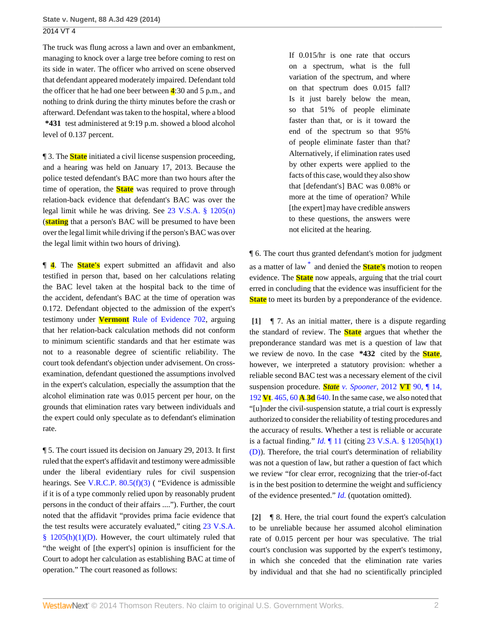The truck was flung across a lawn and over an embankment, managing to knock over a large tree before coming to rest on its side in water. The officer who arrived on scene observed that defendant appeared moderately impaired. Defendant told the officer that he had one beer between **4**:30 and 5 p.m., and nothing to drink during the thirty minutes before the crash or afterward. Defendant was taken to the hospital, where a blood **\*431** test administered at 9:19 p.m. showed a blood alcohol level of 0.137 percent.

¶ 3. The **State** initiated a civil license suspension proceeding, and a hearing was held on January 17, 2013. Because the police tested defendant's BAC more than two hours after the time of operation, the **State** was required to prove through relation-back evidence that defendant's BAC was over the legal limit while he was driving. See [23 V.S.A. § 1205\(n\)](http://www.westlaw.com/Link/Document/FullText?findType=L&pubNum=1000883&cite=VTST23S1205&originatingDoc=I2b9b8e557a1a11e3a659df62eba144e8&refType=SP&originationContext=document&vr=3.0&rs=cblt1.0&transitionType=DocumentItem&contextData=(sc.Search)#co_pp_d92f0000cce47) (**stating** that a person's BAC will be presumed to have been over the legal limit while driving if the person's BAC was over the legal limit within two hours of driving).

¶ **4**. The **State's** expert submitted an affidavit and also testified in person that, based on her calculations relating the BAC level taken at the hospital back to the time of the accident, defendant's BAC at the time of operation was 0.172. Defendant objected to the admission of the expert's testimony under **Vermont** [Rule of Evidence 702,](http://www.westlaw.com/Link/Document/FullText?findType=L&pubNum=1006374&cite=VTRREVR702&originatingDoc=I2b9b8e557a1a11e3a659df62eba144e8&refType=LQ&originationContext=document&vr=3.0&rs=cblt1.0&transitionType=DocumentItem&contextData=(sc.Search)) arguing that her relation-back calculation methods did not conform to minimum scientific standards and that her estimate was not to a reasonable degree of scientific reliability. The court took defendant's objection under advisement. On crossexamination, defendant questioned the assumptions involved in the expert's calculation, especially the assumption that the alcohol elimination rate was 0.015 percent per hour, on the grounds that elimination rates vary between individuals and the expert could only speculate as to defendant's elimination rate.

¶ 5. The court issued its decision on January 29, 2013. It first ruled that the expert's affidavit and testimony were admissible under the liberal evidentiary rules for civil suspension hearings. See [V.R.C.P. 80.5\(f\)\(3\)](http://www.westlaw.com/Link/Document/FullText?findType=L&pubNum=1006374&cite=VTRRCPR80.5&originatingDoc=I2b9b8e557a1a11e3a659df62eba144e8&refType=LQ&originationContext=document&vr=3.0&rs=cblt1.0&transitionType=DocumentItem&contextData=(sc.Search)) ( "Evidence is admissible if it is of a type commonly relied upon by reasonably prudent persons in the conduct of their affairs ...."). Further, the court noted that the affidavit "provides prima facie evidence that the test results were accurately evaluated," citing [23 V.S.A.](http://www.westlaw.com/Link/Document/FullText?findType=L&pubNum=1000883&cite=VTST23S1205&originatingDoc=I2b9b8e557a1a11e3a659df62eba144e8&refType=SP&originationContext=document&vr=3.0&rs=cblt1.0&transitionType=DocumentItem&contextData=(sc.Search)#co_pp_b4e500006fdf6) §  $1205(h)(1)(D)$ . However, the court ultimately ruled that "the weight of [the expert's] opinion is insufficient for the Court to adopt her calculation as establishing BAC at time of operation." The court reasoned as follows:

If 0.015/hr is one rate that occurs on a spectrum, what is the full variation of the spectrum, and where on that spectrum does 0.015 fall? Is it just barely below the mean, so that 51% of people eliminate faster than that, or is it toward the end of the spectrum so that 95% of people eliminate faster than that? Alternatively, if elimination rates used by other experts were applied to the facts of this case, would they also show that [defendant's] BAC was 0.08% or more at the time of operation? While [the expert] may have credible answers to these questions, the answers were not elicited at the hearing.

<span id="page-1-2"></span>¶ 6. The court thus granted defendant's motion for judgment as a matter of law [\\*](#page-2-0) and denied the **State's** motion to reopen evidence. The **State** now appeals, arguing that the trial court erred in concluding that the evidence was insufficient for the **State** to meet its burden by a preponderance of the evidence.

<span id="page-1-0"></span>**[\[1\]](#page-0-0)** ¶ 7. As an initial matter, there is a dispute regarding the standard of review. The **State** argues that whether the preponderance standard was met is a question of law that we review de novo. In the case **\*432** cited by the **State**, however, we interpreted a statutory provision: whether a reliable second BAC test was a necessary element of the civil suspension procedure. *State [v. Spooner,](http://www.westlaw.com/Link/Document/FullText?findType=Y&serNum=2028919961&pubNum=7691&originationContext=document&vr=3.0&rs=cblt1.0&transitionType=DocumentItem&contextData=(sc.Search))* 2012 **VT** 90, ¶ 14, 192 **Vt**[. 465, 60](http://www.westlaw.com/Link/Document/FullText?findType=Y&serNum=2028919961&pubNum=7691&originationContext=document&vr=3.0&rs=cblt1.0&transitionType=DocumentItem&contextData=(sc.Search)) **A**.**3d** 640. In the same case, we also noted that "[u]nder the civil-suspension statute, a trial court is expressly authorized to consider the reliability of testing procedures and the accuracy of results. Whether a test is reliable or accurate is a factual finding." *Id.* [¶ 11](http://www.westlaw.com/Link/Document/FullText?findType=Y&serNum=2028919961&originationContext=document&vr=3.0&rs=cblt1.0&transitionType=DocumentItem&contextData=(sc.Search)) (citing [23 V.S.A. § 1205\(h\)\(1\)](http://www.westlaw.com/Link/Document/FullText?findType=L&pubNum=1000883&cite=VTST23S1205&originatingDoc=I2b9b8e557a1a11e3a659df62eba144e8&refType=SP&originationContext=document&vr=3.0&rs=cblt1.0&transitionType=DocumentItem&contextData=(sc.Search)#co_pp_b4e500006fdf6) [\(D\)\)](http://www.westlaw.com/Link/Document/FullText?findType=L&pubNum=1000883&cite=VTST23S1205&originatingDoc=I2b9b8e557a1a11e3a659df62eba144e8&refType=SP&originationContext=document&vr=3.0&rs=cblt1.0&transitionType=DocumentItem&contextData=(sc.Search)#co_pp_b4e500006fdf6). Therefore, the trial court's determination of reliability was not a question of law, but rather a question of fact which we review "for clear error, recognizing that the trier-of-fact is in the best position to determine the weight and sufficiency of the evidence presented." *[Id.](http://www.westlaw.com/Link/Document/FullText?findType=Y&serNum=2028919961&originationContext=document&vr=3.0&rs=cblt1.0&transitionType=DocumentItem&contextData=(sc.Search))* (quotation omitted).

<span id="page-1-1"></span>**[\[2\]](#page-0-1)** ¶ 8. Here, the trial court found the expert's calculation to be unreliable because her assumed alcohol elimination rate of 0.015 percent per hour was speculative. The trial court's conclusion was supported by the expert's testimony, in which she conceded that the elimination rate varies by individual and that she had no scientifically principled